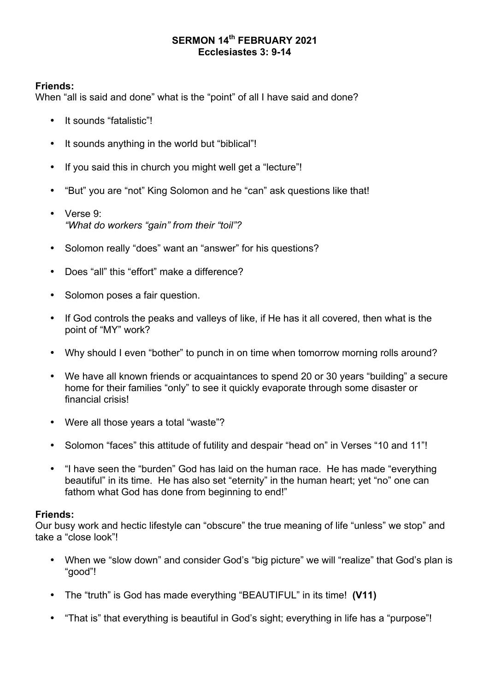## **SERMON 14th FEBRUARY 2021 Ecclesiastes 3: 9-14**

## **Friends:**

When "all is said and done" what is the "point" of all I have said and done?

- It sounds "fatalistic"!
- It sounds anything in the world but "biblical"!
- If you said this in church you might well get a "lecture"!
- "But" you are "not" King Solomon and he "can" ask questions like that!
- Verse 9: *"What do workers "gain" from their "toil"?*
- Solomon really "does" want an "answer" for his questions?
- Does "all" this "effort" make a difference?
- Solomon poses a fair question.
- If God controls the peaks and valleys of like, if He has it all covered, then what is the point of "MY" work?
- Why should I even "bother" to punch in on time when tomorrow morning rolls around?
- We have all known friends or acquaintances to spend 20 or 30 years "building" a secure home for their families "only" to see it quickly evaporate through some disaster or financial crisis!
- Were all those years a total "waste"?
- Solomon "faces" this attitude of futility and despair "head on" in Verses "10 and 11"!
- "I have seen the "burden" God has laid on the human race. He has made "everything beautiful" in its time. He has also set "eternity" in the human heart; yet "no" one can fathom what God has done from beginning to end!"

# **Friends:**

Our busy work and hectic lifestyle can "obscure" the true meaning of life "unless" we stop" and take a "close look"!

- When we "slow down" and consider God's "big picture" we will "realize" that God's plan is "good"!
- The "truth" is God has made everything "BEAUTIFUL" in its time! **(V11)**
- "That is" that everything is beautiful in God's sight; everything in life has a "purpose"!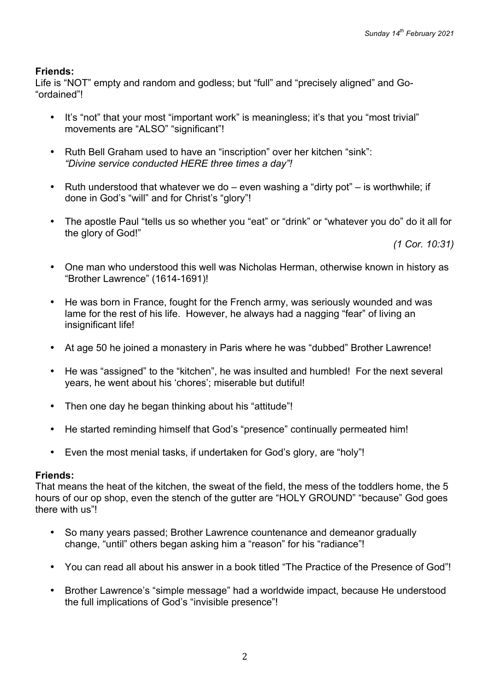Life is "NOT" empty and random and godless; but "full" and "precisely aligned" and Go- "ordained"!

- It's "not" that your most "important work" is meaningless; it's that you "most trivial" movements are "ALSO" "significant"!
- Ruth Bell Graham used to have an "inscription" over her kitchen "sink": *"Divine service conducted HERE three times a day"!*
- Ruth understood that whatever we do  $-$  even washing a "dirty pot"  $-$  is worthwhile; if done in God's "will" and for Christ's "glory"!
- The apostle Paul "tells us so whether you "eat" or "drink" or "whatever you do" do it all for the glory of God!"

*(1 Cor. 10:31)*

- One man who understood this well was Nicholas Herman, otherwise known in history as "Brother Lawrence" (1614-1691)!
- He was born in France, fought for the French army, was seriously wounded and was lame for the rest of his life. However, he always had a nagging "fear" of living an insignificant life!
- At age 50 he joined a monastery in Paris where he was "dubbed" Brother Lawrence!
- He was "assigned" to the "kitchen", he was insulted and humbled! For the next several years, he went about his 'chores'; miserable but dutiful!
- Then one day he began thinking about his "attitude"!
- He started reminding himself that God's "presence" continually permeated him!
- Even the most menial tasks, if undertaken for God's glory, are "holy"!

## **Friends:**

That means the heat of the kitchen, the sweat of the field, the mess of the toddlers home, the 5 hours of our op shop, even the stench of the gutter are "HOLY GROUND" "because" God goes there with us"!

- So many years passed; Brother Lawrence countenance and demeanor gradually change, "until" others began asking him a "reason" for his "radiance"!
- You can read all about his answer in a book titled "The Practice of the Presence of God"!
- Brother Lawrence's "simple message" had a worldwide impact, because He understood the full implications of God's "invisible presence"!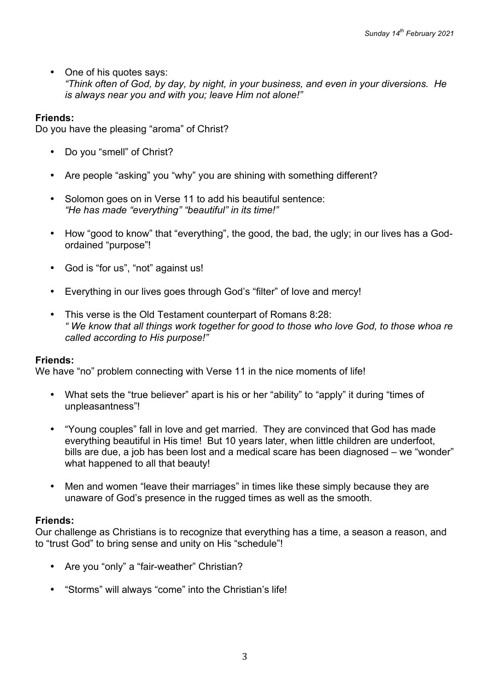• One of his quotes says: *"Think often of God, by day, by night, in your business, and even in your diversions. He is always near you and with you; leave Him not alone!"*

## **Friends:**

Do you have the pleasing "aroma" of Christ?

- Do you "smell" of Christ?
- Are people "asking" you "why" you are shining with something different?
- Solomon goes on in Verse 11 to add his beautiful sentence: *"He has made "everything" "beautiful" in its time!"*
- How "good to know" that "everything", the good, the bad, the ugly; in our lives has a Godordained "purpose"!
- God is "for us", "not" against us!
- Everything in our lives goes through God's "filter" of love and mercy!
- This verse is the Old Testament counterpart of Romans 8:28: *" We know that all things work together for good to those who love God, to those whoa re called according to His purpose!"*

## **Friends:**

We have "no" problem connecting with Verse 11 in the nice moments of life!

- What sets the "true believer" apart is his or her "ability" to "apply" it during "times of unpleasantness"!
- "Young couples" fall in love and get married. They are convinced that God has made everything beautiful in His time! But 10 years later, when little children are underfoot, bills are due, a job has been lost and a medical scare has been diagnosed – we "wonder" what happened to all that beauty!
- Men and women "leave their marriages" in times like these simply because they are unaware of God's presence in the rugged times as well as the smooth.

## **Friends:**

Our challenge as Christians is to recognize that everything has a time, a season a reason, and to "trust God" to bring sense and unity on His "schedule"!

- Are you "only" a "fair-weather" Christian?
- "Storms" will always "come" into the Christian's life!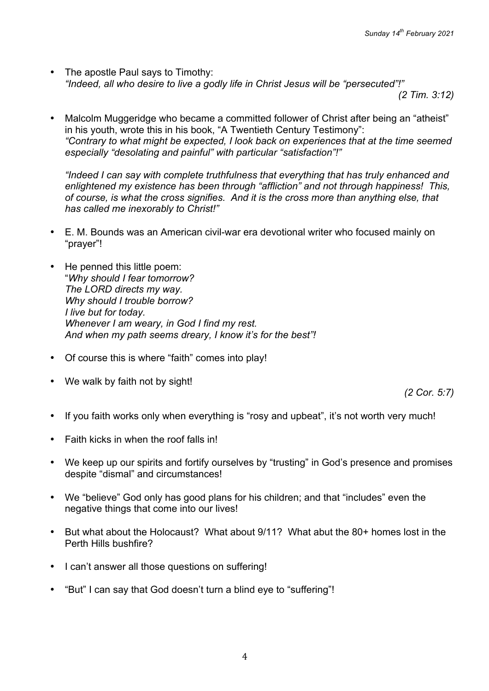The apostle Paul says to Timothy: *"Indeed, all who desire to live a godly life in Christ Jesus will be "persecuted"!"*

*(2 Tim. 3:12)*

• Malcolm Muggeridge who became a committed follower of Christ after being an "atheist" in his youth, wrote this in his book, "A Twentieth Century Testimony": *"Contrary to what might be expected, I look back on experiences that at the time seemed especially "desolating and painful" with particular "satisfaction"!"*

*"Indeed I can say with complete truthfulness that everything that has truly enhanced and enlightened my existence has been through "affliction" and not through happiness! This, of course, is what the cross signifies. And it is the cross more than anything else, that has called me inexorably to Christ!"*

- E. M. Bounds was an American civil-war era devotional writer who focused mainly on "prayer"!
- He penned this little poem: "*Why should I fear tomorrow? The LORD directs my way. Why should I trouble borrow? I live but for today. Whenever I am weary, in God I find my rest. And when my path seems dreary, I know it's for the best"!*
- Of course this is where "faith" comes into play!
- We walk by faith not by sight!

*(2 Cor. 5:7)*

- If you faith works only when everything is "rosy and upbeat", it's not worth very much!
- Faith kicks in when the roof falls in!
- We keep up our spirits and fortify ourselves by "trusting" in God's presence and promises despite "dismal" and circumstances!
- We "believe" God only has good plans for his children; and that "includes" even the negative things that come into our lives!
- But what about the Holocaust? What about 9/11? What abut the 80+ homes lost in the Perth Hills bushfire?
- I can't answer all those questions on suffering!
- "But" I can say that God doesn't turn a blind eye to "suffering"!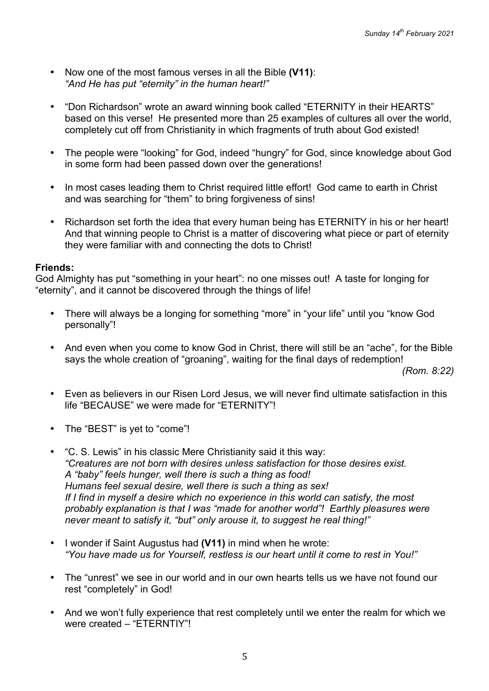- Now one of the most famous verses in all the Bible **(V11)**: *"And He has put "eternity" in the human heart!"*
- "Don Richardson" wrote an award winning book called "ETERNITY in their HEARTS" based on this verse! He presented more than 25 examples of cultures all over the world, completely cut off from Christianity in which fragments of truth about God existed!
- The people were "looking" for God, indeed "hungry" for God, since knowledge about God in some form had been passed down over the generations!
- In most cases leading them to Christ required little effort! God came to earth in Christ and was searching for "them" to bring forgiveness of sins!
- Richardson set forth the idea that every human being has ETERNITY in his or her heart! And that winning people to Christ is a matter of discovering what piece or part of eternity they were familiar with and connecting the dots to Christ!

God Almighty has put "something in your heart": no one misses out! A taste for longing for "eternity", and it cannot be discovered through the things of life!

- There will always be a longing for something "more" in "your life" until you "know God personally"!
- And even when you come to know God in Christ, there will still be an "ache", for the Bible says the whole creation of "groaning", waiting for the final days of redemption!

*(Rom. 8:22)*

- Even as believers in our Risen Lord Jesus, we will never find ultimate satisfaction in this life "BECAUSE" we were made for "ETERNITY"!
- The "BEST" is yet to "come"!
- "C. S. Lewis" in his classic Mere Christianity said it this way: *"Creatures are not born with desires unless satisfaction for those desires exist. A "baby" feels hunger, well there is such a thing as food! Humans feel sexual desire, well there is such a thing as sex! If I find in myself a desire which no experience in this world can satisfy, the most probably explanation is that I was "made for another world"! Earthly pleasures were never meant to satisfy it, "but" only arouse it, to suggest he real thing!"*
- I wonder if Saint Augustus had **(V11)** in mind when he wrote: *"You have made us for Yourself, restless is our heart until it come to rest in You!"*
- The "unrest" we see in our world and in our own hearts tells us we have not found our rest "completely" in God!
- And we won't fully experience that rest completely until we enter the realm for which we were created – "ETERNTIY"!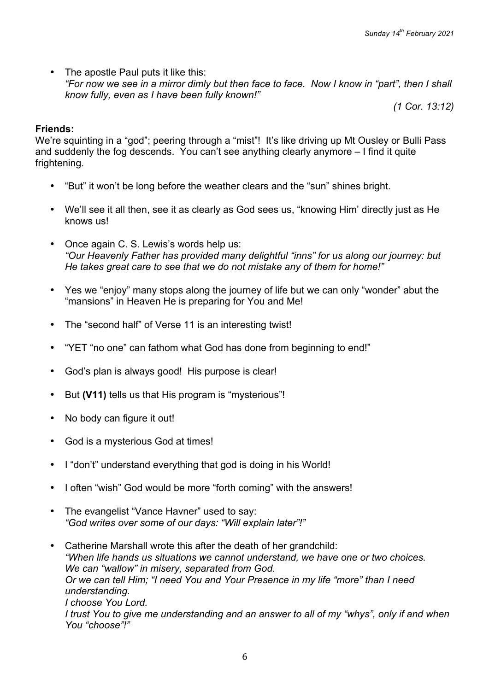• The apostle Paul puts it like this: *"For now we see in a mirror dimly but then face to face. Now I know in "part", then I shall know fully, even as I have been fully known!"*

*(1 Cor. 13:12)*

## **Friends:**

We're squinting in a "god"; peering through a "mist"! It's like driving up Mt Ousley or Bulli Pass and suddenly the fog descends. You can't see anything clearly anymore – I find it quite frightening.

- "But" it won't be long before the weather clears and the "sun" shines bright.
- We'll see it all then, see it as clearly as God sees us, "knowing Him' directly just as He knows us!
- Once again C. S. Lewis's words help us: *"Our Heavenly Father has provided many delightful "inns" for us along our journey: but He takes great care to see that we do not mistake any of them for home!"*
- Yes we "enjoy" many stops along the journey of life but we can only "wonder" abut the "mansions" in Heaven He is preparing for You and Me!
- The "second half" of Verse 11 is an interesting twist!
- "YET "no one" can fathom what God has done from beginning to end!"
- God's plan is always good! His purpose is clear!
- But **(V11)** tells us that His program is "mysterious"!
- No body can figure it out!
- God is a mysterious God at times!
- I "don't" understand everything that god is doing in his World!
- I often "wish" God would be more "forth coming" with the answers!
- The evangelist "Vance Havner" used to say: *"God writes over some of our days: "Will explain later"!"*
- Catherine Marshall wrote this after the death of her grandchild: *"When life hands us situations we cannot understand, we have one or two choices. We can "wallow" in misery, separated from God. Or we can tell Him; "I need You and Your Presence in my life "more" than I need understanding. I choose You Lord. I trust You to give me understanding and an answer to all of my "whys", only if and when You "choose"!"*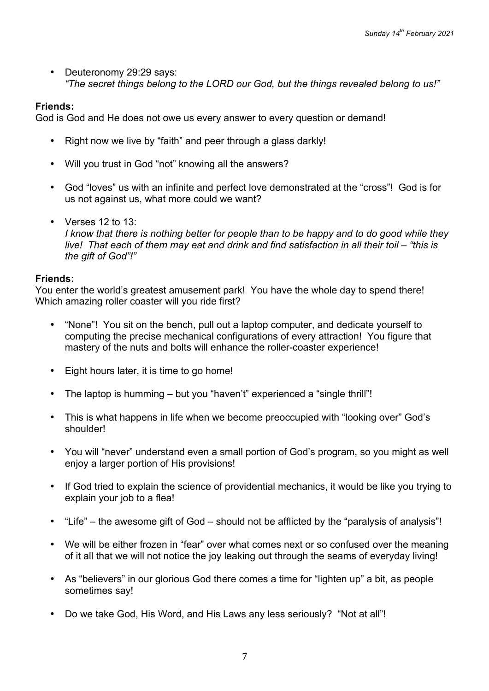• Deuteronomy 29:29 says: *"The secret things belong to the LORD our God, but the things revealed belong to us!"*

## **Friends:**

God is God and He does not owe us every answer to every question or demand!

- Right now we live by "faith" and peer through a glass darkly!
- Will you trust in God "not" knowing all the answers?
- God "loves" us with an infinite and perfect love demonstrated at the "cross"! God is for us not against us, what more could we want?
- Verses 12 to 13: *I know that there is nothing better for people than to be happy and to do good while they live! That each of them may eat and drink and find satisfaction in all their toil – "this is the gift of God"!"*

## **Friends:**

You enter the world's greatest amusement park! You have the whole day to spend there! Which amazing roller coaster will you ride first?

- "None"! You sit on the bench, pull out a laptop computer, and dedicate yourself to computing the precise mechanical configurations of every attraction! You figure that mastery of the nuts and bolts will enhance the roller-coaster experience!
- Eight hours later, it is time to go home!
- The laptop is humming but you "haven't" experienced a "single thrill"!
- This is what happens in life when we become preoccupied with "looking over" God's shoulder!
- You will "never" understand even a small portion of God's program, so you might as well enjoy a larger portion of His provisions!
- If God tried to explain the science of providential mechanics, it would be like you trying to explain your job to a flea!
- "Life" the awesome gift of God should not be afflicted by the "paralysis of analysis"!
- We will be either frozen in "fear" over what comes next or so confused over the meaning of it all that we will not notice the joy leaking out through the seams of everyday living!
- As "believers" in our glorious God there comes a time for "lighten up" a bit, as people sometimes say!
- Do we take God, His Word, and His Laws any less seriously? "Not at all"!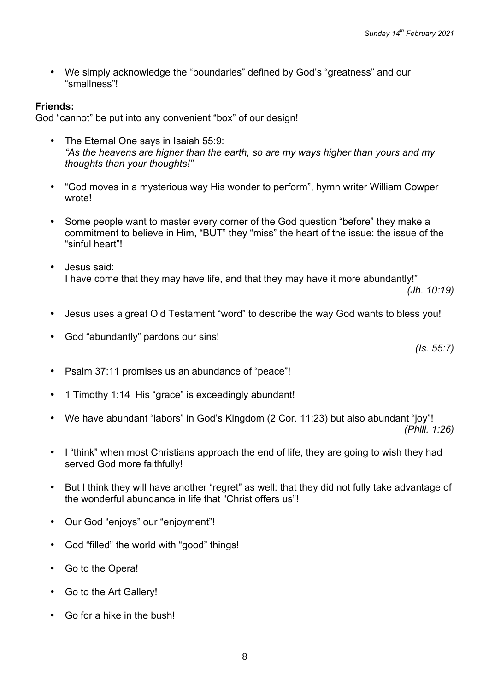• We simply acknowledge the "boundaries" defined by God's "greatness" and our "smallness"!

# **Friends:**

God "cannot" be put into any convenient "box" of our design!

- The Eternal One says in Isaiah 55:9: *"As the heavens are higher than the earth, so are my ways higher than yours and my thoughts than your thoughts!"*
- "God moves in a mysterious way His wonder to perform", hymn writer William Cowper wrote!
- Some people want to master every corner of the God question "before" they make a commitment to believe in Him, "BUT" they "miss" the heart of the issue: the issue of the "sinful heart"!
- Jesus said: I have come that they may have life, and that they may have it more abundantly!"

*(Jh. 10:19)*

- Jesus uses a great Old Testament "word" to describe the way God wants to bless you!
- God "abundantly" pardons our sins!

*(Is. 55:7)*

- Psalm 37:11 promises us an abundance of "peace"!
- 1 Timothy 1:14 His "grace" is exceedingly abundant!
- We have abundant "labors" in God's Kingdom (2 Cor. 11:23) but also abundant "joy"! *(Phili. 1:26)*
- I "think" when most Christians approach the end of life, they are going to wish they had served God more faithfully!
- But I think they will have another "regret" as well: that they did not fully take advantage of the wonderful abundance in life that "Christ offers us"!
- Our God "enjoys" our "enjoyment"!
- God "filled" the world with "good" things!
- Go to the Opera!
- Go to the Art Gallery!
- Go for a hike in the bush!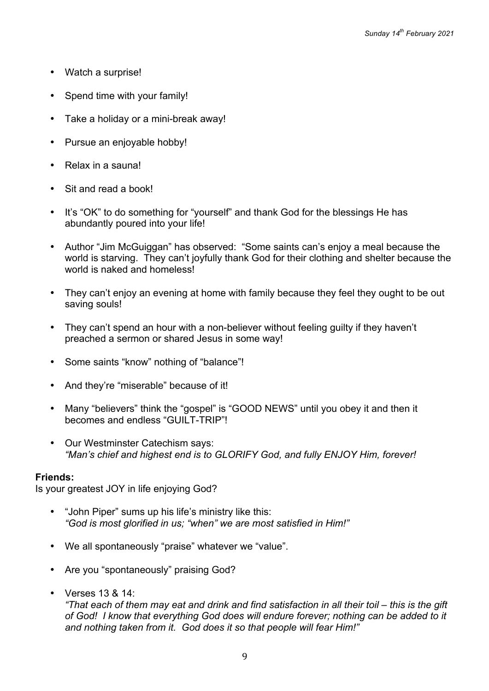- Watch a surprise!
- Spend time with your family!
- Take a holiday or a mini-break away!
- Pursue an enjoyable hobby!
- Relax in a sauna!
- Sit and read a book!
- It's "OK" to do something for "yourself" and thank God for the blessings He has abundantly poured into your life!
- Author "Jim McGuiggan" has observed: "Some saints can's enjoy a meal because the world is starving. They can't joyfully thank God for their clothing and shelter because the world is naked and homeless!
- They can't enjoy an evening at home with family because they feel they ought to be out saving souls!
- They can't spend an hour with a non-believer without feeling quilty if they haven't preached a sermon or shared Jesus in some way!
- Some saints "know" nothing of "balance"!
- And they're "miserable" because of it!
- Many "believers" think the "gospel" is "GOOD NEWS" until you obey it and then it becomes and endless "GUILT-TRIP"!
- Our Westminster Catechism says: *"Man's chief and highest end is to GLORIFY God, and fully ENJOY Him, forever!*

Is your greatest JOY in life enjoying God?

- "John Piper" sums up his life's ministry like this: *"God is most glorified in us; "when" we are most satisfied in Him!"*
- We all spontaneously "praise" whatever we "value".
- Are you "spontaneously" praising God?
- Verses 13 & 14:

*"That each of them may eat and drink and find satisfaction in all their toil – this is the gift of God! I know that everything God does will endure forever; nothing can be added to it and nothing taken from it. God does it so that people will fear Him!"*